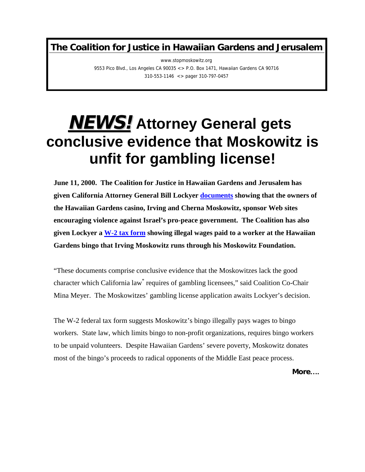**The Coalition for Justice in Hawaiian Gardens and Jerusalem**

www.stopmoskowitz.org 9553 Pico Blvd., Los Angeles CA 90035 <> P.O. Box 1471, Hawaiian Gardens CA 90716 310-553-1146 <> pager 310-797-0457

## **NEWS!Attorney General gets conclusive evidence that Moskowitz is unfit for gambling license!**

**June 11, 2000. The Coalition for Justice in Hawaiian Gardens and Jerusalem has given California Attorney General Bill Lockyer [documents](http://www.stopmoskowitz.com/documents/cherna_website.htm) showing that the owners of the Hawaiian Gardens casino, Irving and Cherna Moskowitz, sponsor Web sites encouraging violence against Israel's pro-peace government. The Coalition has also given Lockyer a [W-2 tax form](http://www.stopmoskowitz.com/w2image.html) showing illegal wages paid to a worker at the Hawaiian Gardens bingo that Irving Moskowitz runs through his Moskowitz Foundation.**

"These documents comprise c[on](#page-1-0)clusive evidence that the Moskowitzes lack the good character which California law\* requires of gambling licensees," said Coalition Co-Chair Mina Meyer.The Moskowitzes' gambling license application awaits Lockyer's decision.

The W-2 federal tax form suggests Moskowitz's bingo illegally pays wages to bingo workers. State law, which limits bingo to non-profit organizations, requires bingo workers to be unpaid volunteers. Despite Hawaiian Gardens' severe poverty, Moskowitz donates most of the bingo's proceeds to radical opponents of the Middle East peace process.

**More….**